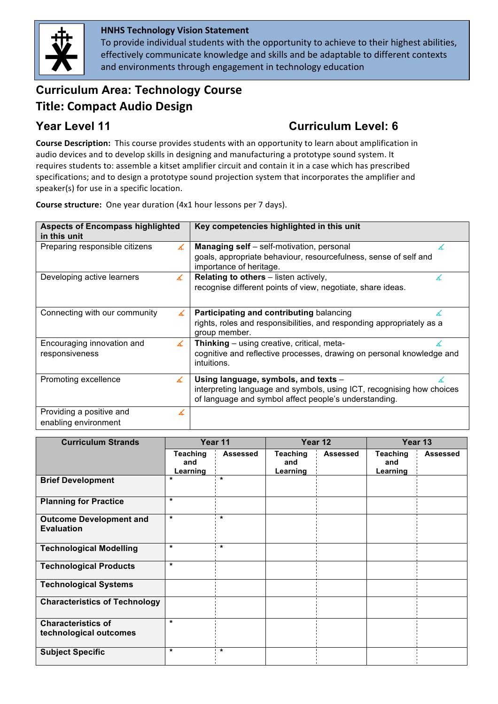

### **HNHS'Technology'Vision Statement'**

To provide individual students with the opportunity to achieve to their highest abilities, effectively communicate knowledge and skills and be adaptable to different contexts and environments through engagement in technology education

# **Curriculum Area: Technology Course' Title: Compact Audio Design**

## **Year Level 11 Curriculum Level: 6**

**Course Description:** This course provides students with an opportunity to learn about amplification in audio devices and to develop skills in designing and manufacturing a prototype sound system. It requires students to: assemble a kitset amplifier circuit and contain it in a case which has prescribed specifications; and to design a prototype sound projection system that incorporates the amplifier and speaker(s) for use in a specific location.

**Course structure:** One year duration (4x1 hour lessons per 7 days).

| <b>Aspects of Encompass highlighted</b><br>in this unit | Key competencies highlighted in this unit                                                                                      |  |  |  |
|---------------------------------------------------------|--------------------------------------------------------------------------------------------------------------------------------|--|--|--|
| Preparing responsible citizens                          | <b>Managing self</b> – self-motivation, personal<br>∡                                                                          |  |  |  |
|                                                         | goals, appropriate behaviour, resourcefulness, sense of self and<br>importance of heritage.                                    |  |  |  |
| Developing active learners<br>∡                         | <b>Relating to others</b> – listen actively,                                                                                   |  |  |  |
|                                                         | recognise different points of view, negotiate, share ideas.                                                                    |  |  |  |
| Connecting with our community                           | Participating and contributing balancing                                                                                       |  |  |  |
|                                                         | rights, roles and responsibilities, and responding appropriately as a<br>group member.                                         |  |  |  |
| Encouraging innovation and<br>∡                         | Thinking – using creative, critical, meta-                                                                                     |  |  |  |
| responsiveness                                          | cognitive and reflective processes, drawing on personal knowledge and<br>intuitions.                                           |  |  |  |
| Promoting excellence<br>∡                               | Using language, symbols, and texts -                                                                                           |  |  |  |
|                                                         | interpreting language and symbols, using ICT, recognising how choices<br>of language and symbol affect people's understanding. |  |  |  |
| Providing a positive and                                | x                                                                                                                              |  |  |  |
| enabling environment                                    |                                                                                                                                |  |  |  |

| <b>Curriculum Strands</b>                           | Year 11                     |          | Year 12                            |                 | Year 13                            |                 |
|-----------------------------------------------------|-----------------------------|----------|------------------------------------|-----------------|------------------------------------|-----------------|
|                                                     | Teaching<br>and<br>Learning | Assessed | <b>Teaching</b><br>and<br>Learning | <b>Assessed</b> | <b>Teaching</b><br>and<br>Learning | <b>Assessed</b> |
| <b>Brief Development</b>                            | $\star$                     | $\star$  |                                    |                 |                                    |                 |
| <b>Planning for Practice</b>                        | $\star$                     |          |                                    |                 |                                    |                 |
| <b>Outcome Development and</b><br><b>Evaluation</b> | $\star$                     | $\star$  |                                    |                 |                                    |                 |
| <b>Technological Modelling</b>                      | $\star$                     | $\star$  |                                    |                 |                                    |                 |
| <b>Technological Products</b>                       | $\star$                     |          |                                    |                 |                                    |                 |
| <b>Technological Systems</b>                        |                             |          |                                    |                 |                                    |                 |
| <b>Characteristics of Technology</b>                |                             |          |                                    |                 |                                    |                 |
| <b>Characteristics of</b><br>technological outcomes | $\star$                     |          |                                    |                 |                                    |                 |
| <b>Subject Specific</b>                             | $\star$                     | $\star$  |                                    |                 |                                    |                 |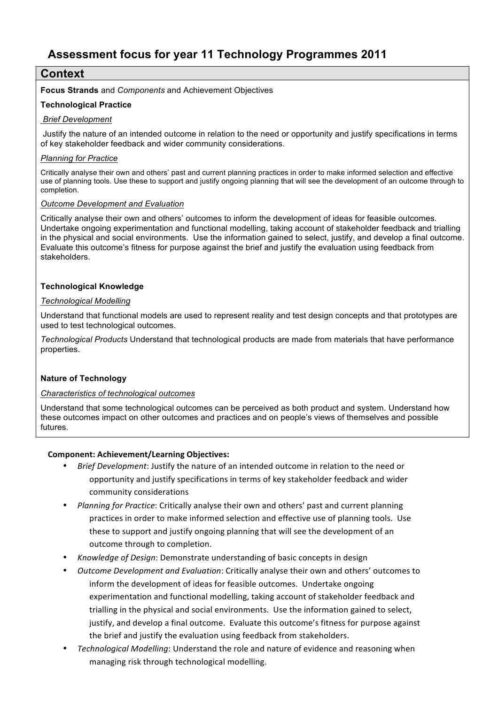## **Context**

**Focus Strands** and *Components* and Achievement Objectives

#### **Technological Practice**

#### *Brief Development*

Justify the nature of an intended outcome in relation to the need or opportunity and justify specifications in terms of key stakeholder feedback and wider community considerations.

#### *Planning for Practice*

Critically analyse their own and others' past and current planning practices in order to make informed selection and effective use of planning tools. Use these to support and justify ongoing planning that will see the development of an outcome through to completion.

#### *Outcome Development and Evaluation*

Critically analyse their own and others' outcomes to inform the development of ideas for feasible outcomes. Undertake ongoing experimentation and functional modelling, taking account of stakeholder feedback and trialling in the physical and social environments. Use the information gained to select, justify, and develop a final outcome. Evaluate this outcome's fitness for purpose against the brief and justify the evaluation using feedback from stakeholders.

#### **Technological Knowledge**

#### *Technological Modelling*

Understand that functional models are used to represent reality and test design concepts and that prototypes are used to test technological outcomes.

*Technological Products* Understand that technological products are made from materials that have performance properties.

#### **Nature of Technology**

#### *Characteristics of technological outcomes*

Understand that some technological outcomes can be perceived as both product and system. Understand how these outcomes impact on other outcomes and practices and on people's views of themselves and possible futures.

#### **Component: Achievement/Learning Objectives:**

- *Brief Development*: Justify the nature of an intended outcome in relation to the need or opportunity and justify specifications in terms of key stakeholder feedback and wider community considerations
- *Planning for Practice*: Critically analyse their own and others' past and current planning practices in order to make informed selection and effective use of planning tools. Use these to support and justify ongoing planning that will see the development of an outcome through to completion.
- *Knowledge of Design*: Demonstrate understanding of basic concepts in design
- *Outcome Development and Evaluation*: Critically analyse their own and others' outcomes to inform the development of ideas for feasible outcomes. Undertake ongoing experimentation and functional modelling, taking account of stakeholder feedback and trialling in the physical and social environments. Use the information gained to select, justify, and develop a final outcome. Evaluate this outcome's fitness for purpose against the brief and justify the evaluation using feedback from stakeholders.
- *Technological Modelling*: Understand the role and nature of evidence and reasoning when managing risk through technological modelling.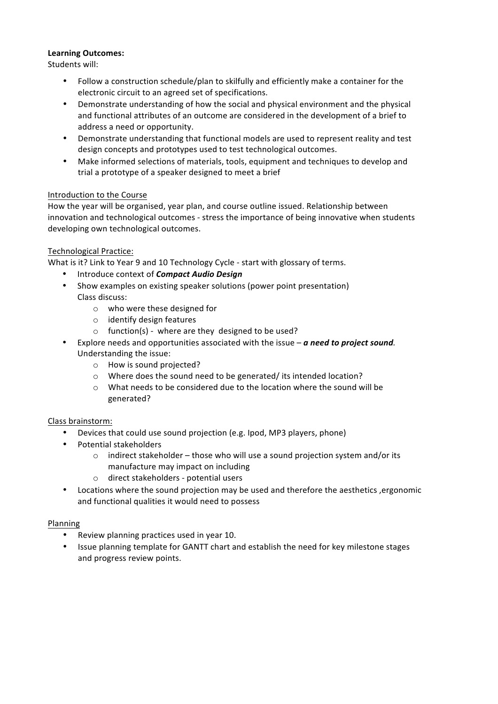#### **Learning'Outcomes:**

Students will:

- Follow a construction schedule/plan to skilfully and efficiently make a container for the electronic circuit to an agreed set of specifications.
- Demonstrate understanding of how the social and physical environment and the physical and functional attributes of an outcome are considered in the development of a brief to address a need or opportunity.
- Demonstrate understanding that functional models are used to represent reality and test design concepts and prototypes used to test technological outcomes.
- Make informed selections of materials, tools, equipment and techniques to develop and trial a prototype of a speaker designed to meet a brief

#### Introduction to the Course

How the year will be organised, year plan, and course outline issued. Relationship between innovation and technological outcomes - stress the importance of being innovative when students developing own technological outcomes.

#### Technological Practice:

What is it? Link to Year 9 and 10 Technology Cycle - start with glossary of terms.

- Introduce context of **Compact Audio Design**
- Show examples on existing speaker solutions (power point presentation) Class discuss:
	- $\circ$  who were these designed for
	- $\circ$  identify design features
	- $\circ$  function(s) where are they designed to be used?
- Explore needs and opportunities associated with the issue *a need to project sound.* Understanding the issue:
	- $\circ$  How is sound projected?
	- o Where does the sound need to be generated/ its intended location?
	- o What needs to be considered due to the location where the sound will be generated?

#### Class brainstorm:

- Devices that could use sound projection (e.g. Ipod, MP3 players, phone)
- Potential stakeholders
	- $\circ$  indirect stakeholder those who will use a sound projection system and/or its manufacture may impact on including
	- $\circ$  direct stakeholders potential users
- Locations where the sound projection may be used and therefore the aesthetics ,ergonomic and functional qualities it would need to possess

#### Planning

- Review planning practices used in year 10.
- Issue planning template for GANTT chart and establish the need for key milestone stages and progress review points.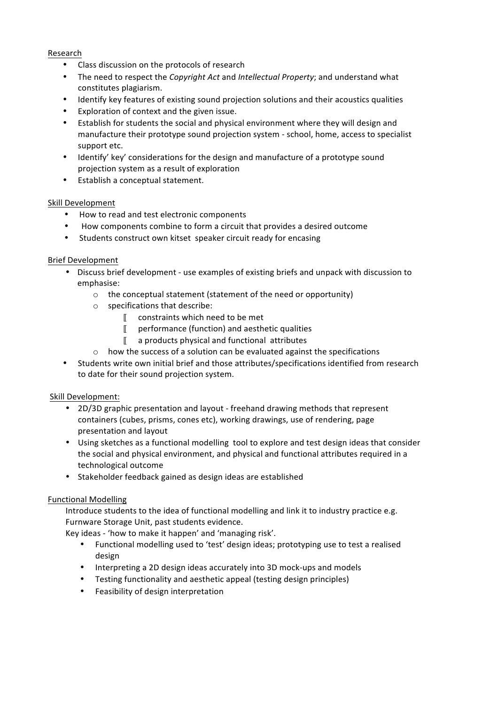#### Research

- Class discussion on the protocols of research
- The need to respect the *Copyright Act* and *Intellectual Property*; and understand what constitutes plagiarism.!
- Identify key features of existing sound projection solutions and their acoustics qualities
- Exploration of context and the given issue.
- Establish for students the social and physical environment where they will design and manufacture their prototype sound projection system - school, home, access to specialist support etc.
- Identify' key' considerations for the design and manufacture of a prototype sound projection system as a result of exploration
- Establish a conceptual statement.

#### Skill Development

- How to read and test electronic components
- How components combine to form a circuit that provides a desired outcome
- Students construct own kitset speaker circuit ready for encasing

#### Brief Development

- Discuss brief development use examples of existing briefs and unpack with discussion to emphasise:
	- $\circ$  the conceptual statement (statement of the need or opportunity)
	- $\circ$  specifications that describe:
		- $\mathbb I$  constraints which need to be met
		- $\mathbb I$  performance (function) and aesthetic qualities
		- $\mathbb{I}$  a products physical and functional attributes
	- $\circ$  how the success of a solution can be evaluated against the specifications
- Students write own initial brief and those attributes/specifications identified from research to date for their sound projection system.

#### Skill Development:

- 2D/3D graphic presentation and layout freehand drawing methods that represent containers (cubes, prisms, cones etc), working drawings, use of rendering, page presentation and layout
- Using sketches as a functional modelling tool to explore and test design ideas that consider the social and physical environment, and physical and functional attributes required in a technological outcome
- Stakeholder feedback gained as design ideas are established

#### **Functional Modelling**

Introduce students to the idea of functional modelling and link it to industry practice e.g. Furnware Storage Unit, past students evidence.

Key ideas - 'how to make it happen' and 'managing risk'.

- Functional modelling used to 'test' design ideas; prototyping use to test a realised design
- Interpreting a 2D design ideas accurately into 3D mock-ups and models
- Testing functionality and aesthetic appeal (testing design principles)
- Feasibility of design interpretation